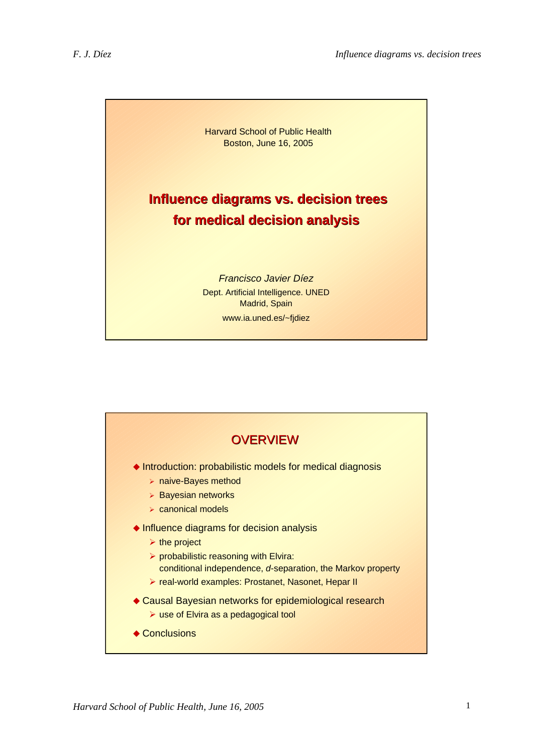

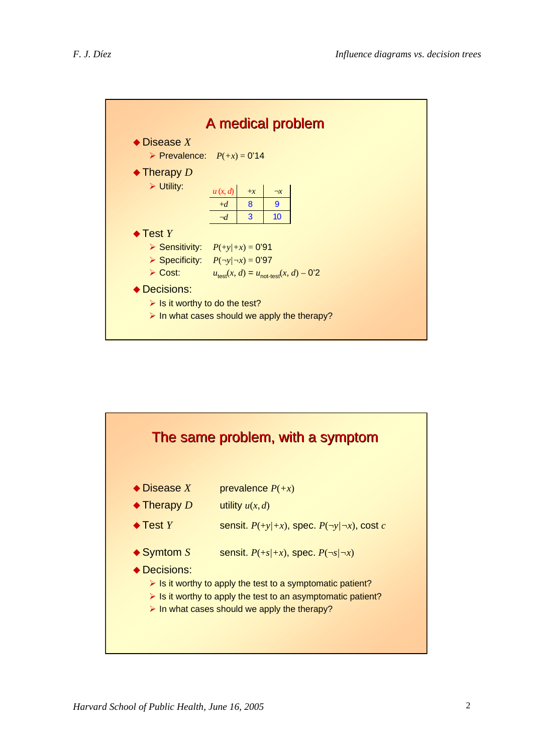

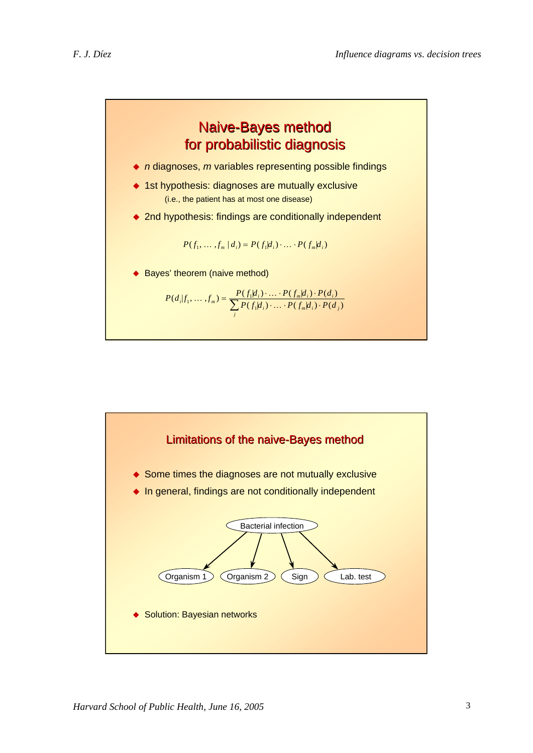

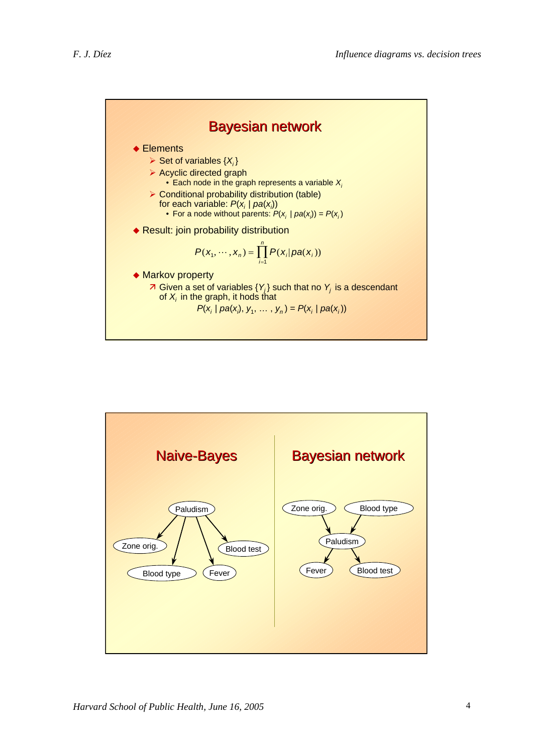

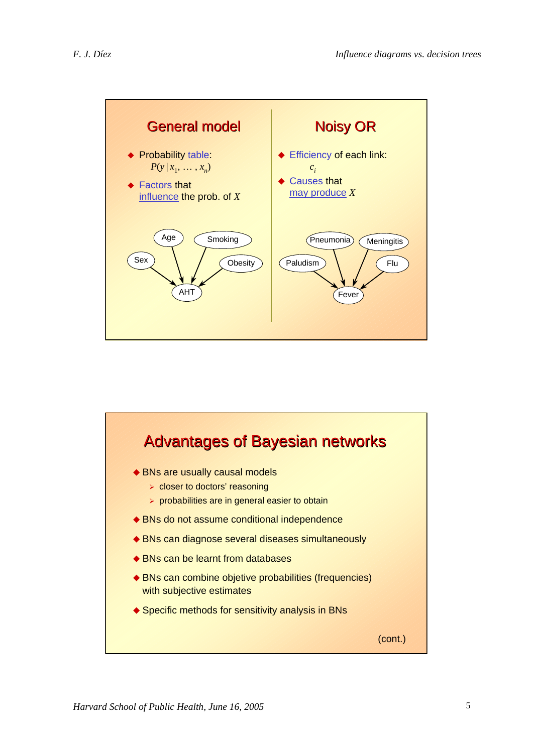

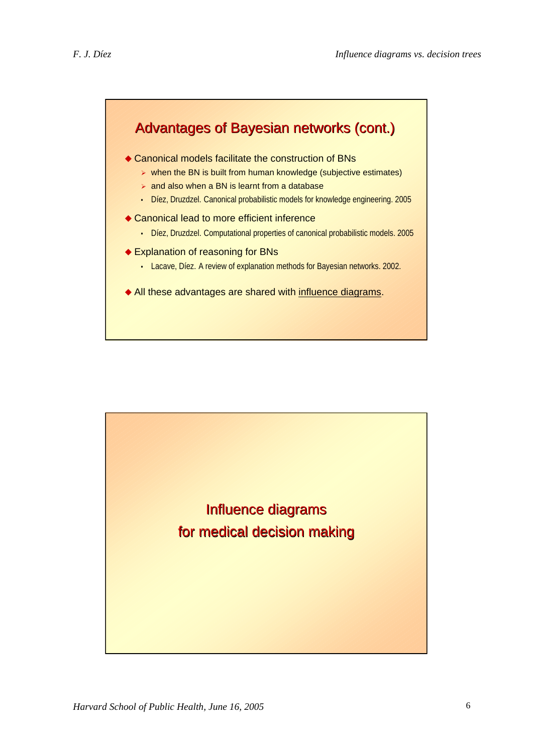

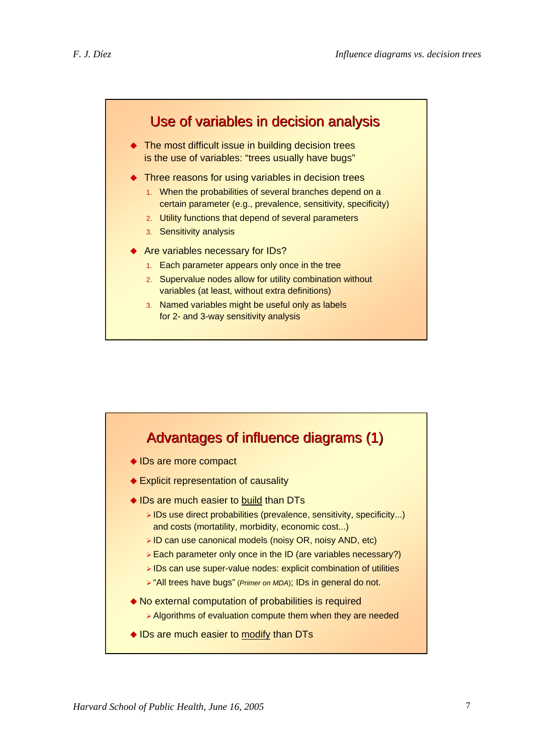

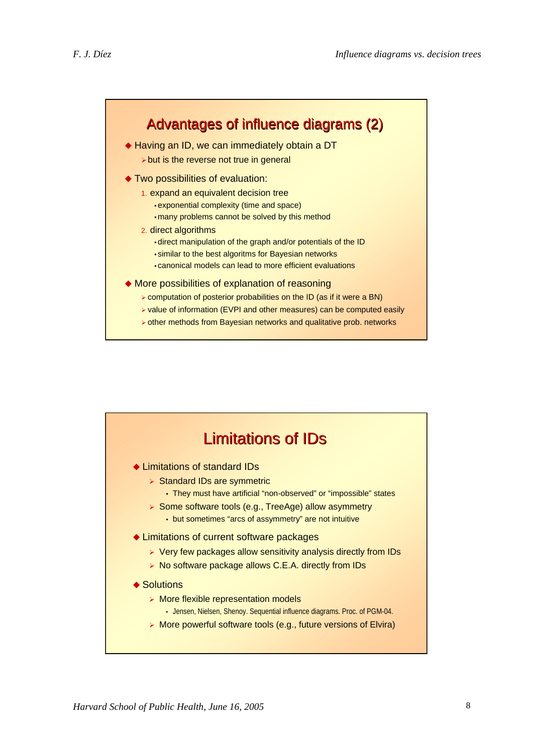

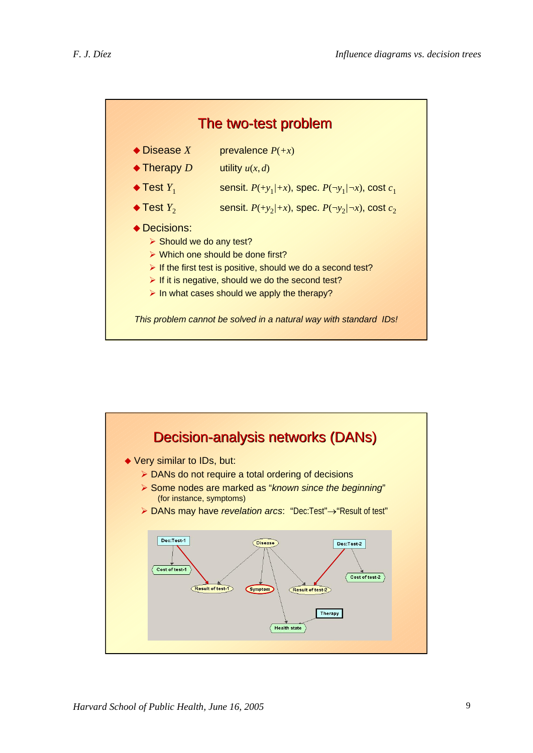

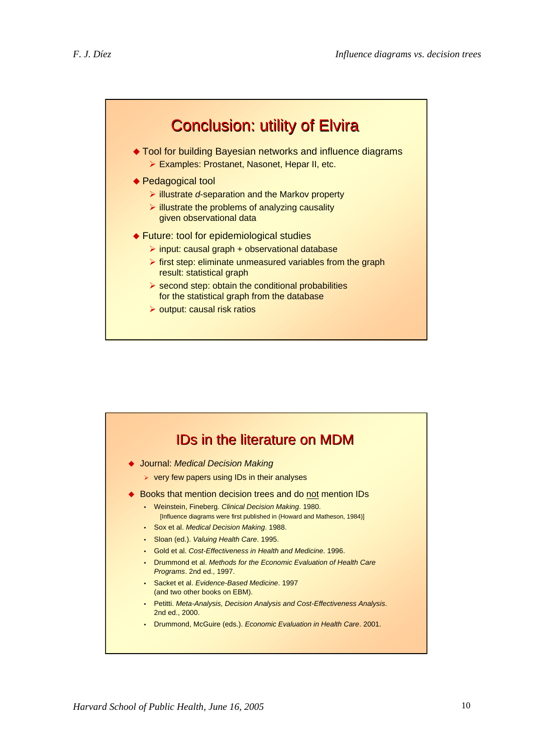

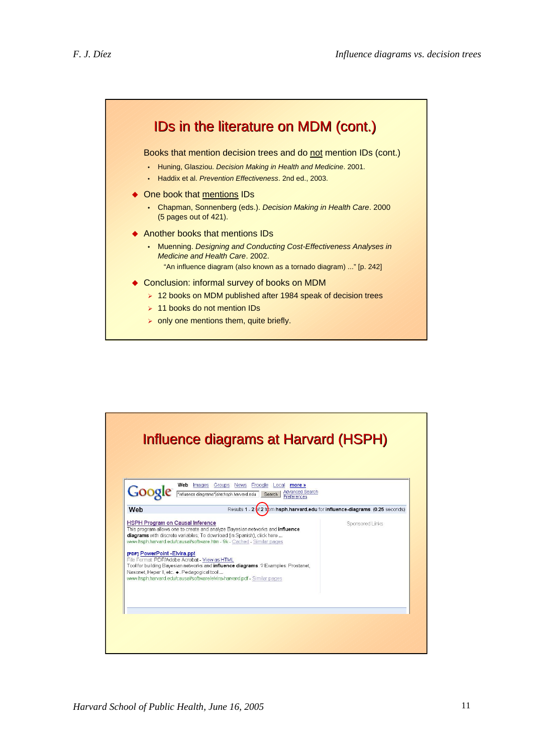